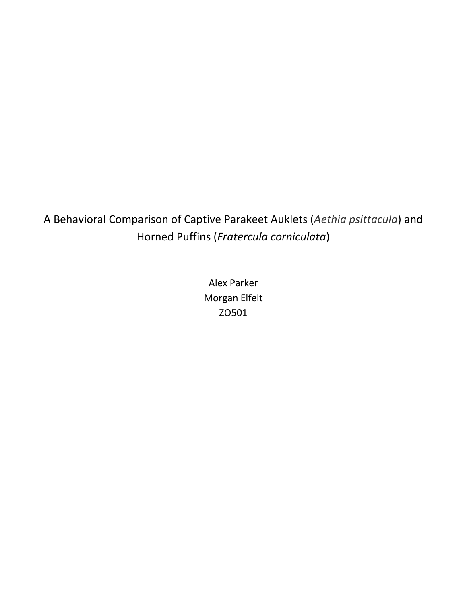A Behavioral Comparison of Captive Parakeet Auklets (*Aethia psittacula*) and Horned Puffins (*Fratercula corniculata*)

> Alex Parker Morgan Elfelt ZO501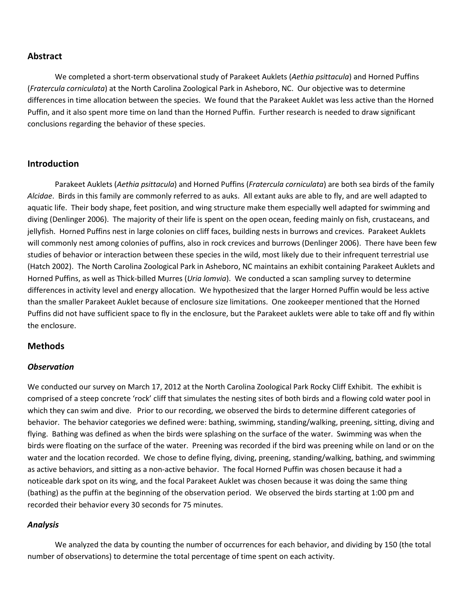#### **Abstract**

We completed a short-term observational study of Parakeet Auklets (*Aethia psittacula*) and Horned Puffins (*Fratercula corniculata*) at the North Carolina Zoological Park in Asheboro, NC. Our objective was to determine differences in time allocation between the species. We found that the Parakeet Auklet was less active than the Horned Puffin, and it also spent more time on land than the Horned Puffin. Further research is needed to draw significant conclusions regarding the behavior of these species.

## **Introduction**

 Parakeet Auklets (*Aethia psittacula*) and Horned Puffins (*Fratercula corniculata*) are both sea birds of the family *Alcidae*. Birds in this family are commonly referred to as auks. All extant auks are able to fly, and are well adapted to aquatic life. Their body shape, feet position, and wing structure make them especially well adapted for swimming and diving (Denlinger 2006). The majority of their life is spent on the open ocean, feeding mainly on fish, crustaceans, and jellyfish. Horned Puffins nest in large colonies on cliff faces, building nests in burrows and crevices. Parakeet Auklets will commonly nest among colonies of puffins, also in rock crevices and burrows (Denlinger 2006). There have been few studies of behavior or interaction between these species in the wild, most likely due to their infrequent terrestrial use (Hatch 2002). The North Carolina Zoological Park in Asheboro, NC maintains an exhibit containing Parakeet Auklets and Horned Puffins, as well as Thick-billed Murres (*Uria lomvia*). We conducted a scan sampling survey to determine differences in activity level and energy allocation. We hypothesized that the larger Horned Puffin would be less active than the smaller Parakeet Auklet because of enclosure size limitations. One zookeeper mentioned that the Horned Puffins did not have sufficient space to fly in the enclosure, but the Parakeet auklets were able to take off and fly within the enclosure.

#### **Methods**

#### *Observation*

We conducted our survey on March 17, 2012 at the North Carolina Zoological Park Rocky Cliff Exhibit. The exhibit is comprised of a steep concrete 'rock' cliff that simulates the nesting sites of both birds and a flowing cold water pool in which they can swim and dive. Prior to our recording, we observed the birds to determine different categories of behavior. The behavior categories we defined were: bathing, swimming, standing/walking, preening, sitting, diving and flying. Bathing was defined as when the birds were splashing on the surface of the water. Swimming was when the birds were floating on the surface of the water. Preening was recorded if the bird was preening while on land or on the water and the location recorded. We chose to define flying, diving, preening, standing/walking, bathing, and swimming as active behaviors, and sitting as a non-active behavior. The focal Horned Puffin was chosen because it had a noticeable dark spot on its wing, and the focal Parakeet Auklet was chosen because it was doing the same thing (bathing) as the puffin at the beginning of the observation period. We observed the birds starting at 1:00 pm and recorded their behavior every 30 seconds for 75 minutes.

#### *Analysis*

 We analyzed the data by counting the number of occurrences for each behavior, and dividing by 150 (the total number of observations) to determine the total percentage of time spent on each activity.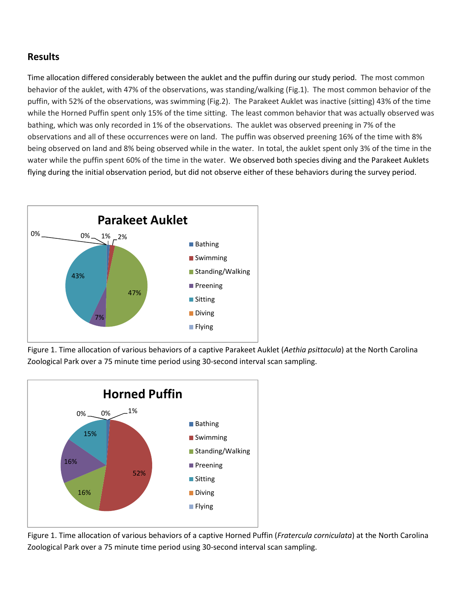# **Results**

Time allocation differed considerably between the auklet and the puffin during our study period. The most common behavior of the auklet, with 47% of the observations, was standing/walking (Fig.1). The most common behavior of the puffin, with 52% of the observations, was swimming (Fig.2). The Parakeet Auklet was inactive (sitting) 43% of the time while the Horned Puffin spent only 15% of the time sitting. The least common behavior that was actually observed was bathing, which was only recorded in 1% of the observations. The auklet was observed preening in 7% of the observations and all of these occurrences were on land. The puffin was observed preening 16% of the time with 8% being observed on land and 8% being observed while in the water. In total, the auklet spent only 3% of the time in the water while the puffin spent 60% of the time in the water. We observed both species diving and the Parakeet Auklets flying during the initial observation period, but did not observe either of these behaviors during the survey period.



Figure 1. Time allocation of various behaviors of a captive Parakeet Auklet (*Aethia psittacula*) at the North Carolina Zoological Park over a 75 minute time period using 30-second interval scan sampling.



Figure 1. Time allocation of various behaviors of a captive Horned Puffin (*Fratercula corniculata*) at the North Carolina Zoological Park over a 75 minute time period using 30-second interval scan sampling.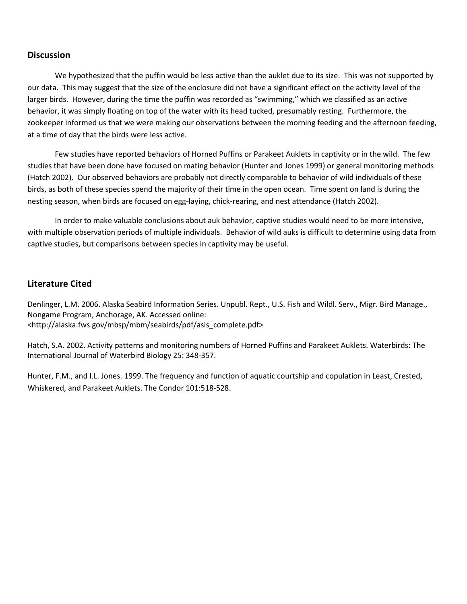# **Discussion**

We hypothesized that the puffin would be less active than the auklet due to its size. This was not supported by our data. This may suggest that the size of the enclosure did not have a significant effect on the activity level of the larger birds. However, during the time the puffin was recorded as "swimming," which we classified as an active behavior, it was simply floating on top of the water with its head tucked, presumably resting. Furthermore, the zookeeper informed us that we were making our observations between the morning feeding and the afternoon feeding, at a time of day that the birds were less active.

Few studies have reported behaviors of Horned Puffins or Parakeet Auklets in captivity or in the wild. The few studies that have been done have focused on mating behavior (Hunter and Jones 1999) or general monitoring methods (Hatch 2002). Our observed behaviors are probably not directly comparable to behavior of wild individuals of these birds, as both of these species spend the majority of their time in the open ocean. Time spent on land is during the nesting season, when birds are focused on egg-laying, chick-rearing, and nest attendance (Hatch 2002).

 In order to make valuable conclusions about auk behavior, captive studies would need to be more intensive, with multiple observation periods of multiple individuals. Behavior of wild auks is difficult to determine using data from captive studies, but comparisons between species in captivity may be useful.

# **Literature Cited**

Denlinger, L.M. 2006. Alaska Seabird Information Series. Unpubl. Rept., U.S. Fish and Wildl. Serv., Migr. Bird Manage., Nongame Program, Anchorage, AK. Accessed online: <http://alaska.fws.gov/mbsp/mbm/seabirds/pdf/asis\_complete.pdf>

Hatch, S.A. 2002. Activity patterns and monitoring numbers of Horned Puffins and Parakeet Auklets. Waterbirds: The International Journal of Waterbird Biology 25: 348-357.

Hunter, F.M., and I.L. Jones. 1999. The frequency and function of aquatic courtship and copulation in Least, Crested, Whiskered, and Parakeet Auklets. The Condor 101:518-528.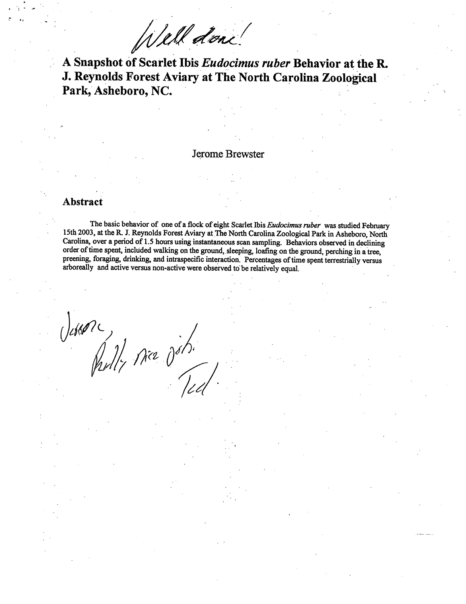Well done

A Snapshot of Scarlet Ibis Eudocimus ruber Behavior at the R. J. Reynolds Forest Aviary at The North Carolina Zoological Park, Asheboro, NC.

#### Jerome Brewster

#### Abstract

The basic behavior of one of a flock of eight Scarlet Ibis Eudocimus ruber was studied February 15th 2003, at the R. J. Reynolds Forest Aviary at The North Carolina Zoological Park in Asheboro, North Carolina, over a period of 1.5 hours using instantaneous scan sampling. Behaviors observed in declining order of time spent, included walking on the ground, sleeping, loafing on the ground, perching in a tree, preening, foraging, drinking, and intraspecific interaction. Percentages of time spent terrestrially versus arboreally and active versus non-active were observed to be relatively equal.

 $\frac{1}{\sqrt{2}}$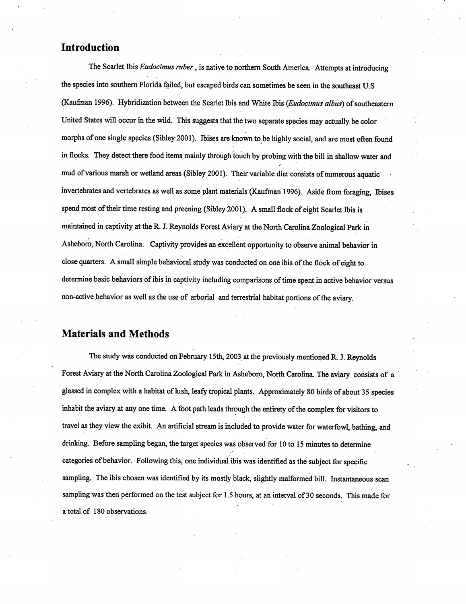# Introduction

The Scarlet Ibis Eudocimus ruber, is native to northern South America. Attempts at introducing the species into southern Florida failed, but escaped birds can sometimes be seen in the southeast U.S. (Kaufman 1996). Hybridization between the Scarlet Ibis and White Ibis (Eudocimus albus) of southeastern United States will occur in the wild. This suggests that the two separate species may actually be color morphs of one single species (Sibley 2001). Ibises are known to be highly social, and are most often found in flocks. They detect there food items mainly through touch by probing with the bill in shallow water and mud of various marsh or wetland areas (Sibley 2001). Their variable diet consists of numerous aquatic invertebrates and vertebrates as well as some plant materials (Kaufman 1996). Aside from foraging, Ibises spend most of their time resting and preening (Sibley 2001). A small flock of eight Scarlet Ibis is maintained in captivity at the R. J. Reynolds Forest Aviary at the North Carolina Zoological Park in Asheboro, North Carolina. Captivity provides an excellent opportunity to observe animal behavior in close quarters. A small simple behavioral study was conducted on one ibis of the flock of eight to determine basic behaviors of ibis in captivity including comparisons of time spent in active behavior versus non-active behavior as well as the use of arborial and terrestrial habitat portions of the aviary.

# **Materials and Methods**

The study was conducted on February 15th, 2003 at the previously mentioned R. J. Reynolds Forest Aviary at the North Carolina Zoological Park in Asheboro, North Carolina. The aviary consists of a glassed in complex with a habitat of lush, leafy tropical plants. Approximately 80 birds of about 35 species inhabit the aviary at any one time. A foot path leads through the entirety of the complex for visitors to travel as they view the exibit. An artificial stream is included to provide water for waterfowl, bathing, and drinking. Before sampling began, the target species was observed for 10 to 15 minutes to determine categories of behavior. Following this, one individual ibis was identified as the subject for specific sampling. The ibis chosen was identified by its mostly black, slightly malformed bill. Instantaneous scan sampling was then performed on the test subject for 1.5 hours, at an interval of 30 seconds. This made for a total of 180 observations.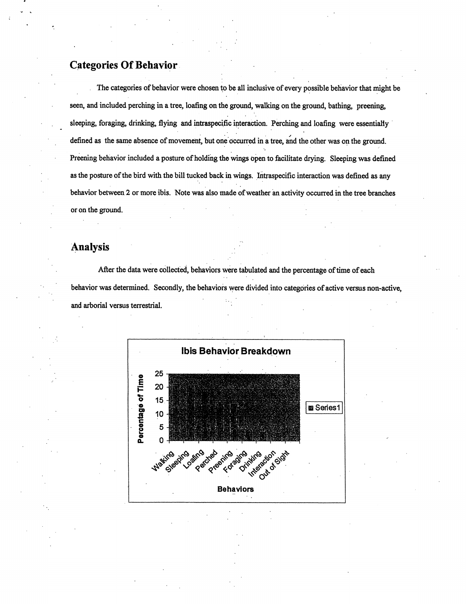# **Categories Of Behavior**

The categories of behavior were chosen to be all inclusive of every possible behavior that might be seen, and included perching in a tree, loafing on the ground, walking on the ground, bathing, preening, sleeping, foraging, drinking, flying and intraspecific interaction. Perching and loafing were essentially defined as the same absence of movement, but one occurred in a tree, and the other was on the ground. Preening behavior included a posture of holding the wings open to facilitate drying. Sleeping was defined as the posture of the bird with the bill tucked back in wings. Intraspecific interaction was defined as any behavior between 2 or more ibis. Note was also made of weather an activity occurred in the tree branches or on the ground.

# **Analysis**

After the data were collected, behaviors were tabulated and the percentage of time of each behavior was determined. Secondly, the behaviors were divided into categories of active versus non-active, and arborial versus terrestrial.

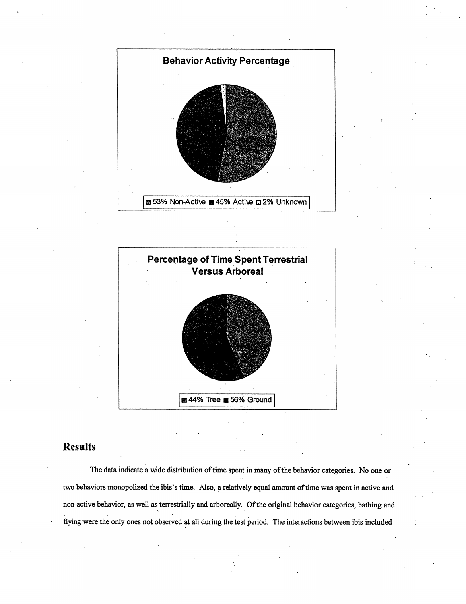



# Results

The data indicate a wide distribution of time spent in many of the behavior categories. No one or two behaviors monopolized the ibis's time. Also, a relatively equal amount of time was spent in active and non-active behavior, as well as terrestrially and arboreally. Of the original behavior categories, bathing and flying were the only ones not observed at all during the test period. The interactions between ibis included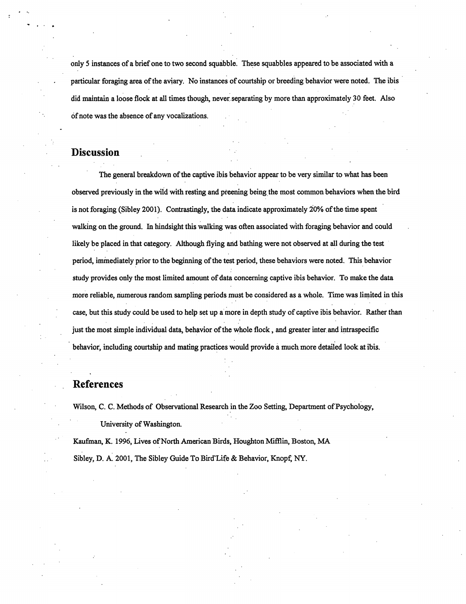only 5 instances of a brief one to two second squabble. These squabbles appeared to be associated with a particular foraging area of the aviary. No instances of courtship or breeding behavior were noted. The ibis did maintain a loose flock at all times though, never separating by more than approximately 30 feet. Also of note was the absence of any vocalizations.

# **Discussion**

The general breakdown of the captive ibis behavior appear to be very similar to what has been observed previously in the wild with resting and preening being the most common behaviors when the bird is not foraging (Sibley 2001). Contrastingly, the data indicate approximately 20% of the time spent walking on the ground. In hindsight this walking was often associated with foraging behavior and could likely be placed in that category. Although flying and bathing were not observed at all during the test period, immediately prior to the beginning of the test period, these behaviors were noted. This behavior study provides only the most limited amount of data concerning captive ibis behavior. To make the data more reliable, numerous random sampling periods must be considered as a whole. Time was limited in this case, but this study could be used to help set up a more in depth study of captive ibis behavior. Rather than just the most simple individual data, behavior of the whole flock, and greater inter and intraspecific behavior, including courtship and mating practices would provide a much more detailed look at ibis.

# References

Wilson, C. C. Methods of Observational Research in the Zoo Setting, Department of Psychology,

University of Washington.

Kaufman, K. 1996, Lives of North American Birds, Houghton Mifflin, Boston, MA Sibley, D. A. 2001, The Sibley Guide To Bird Life & Behavior, Knopf, NY.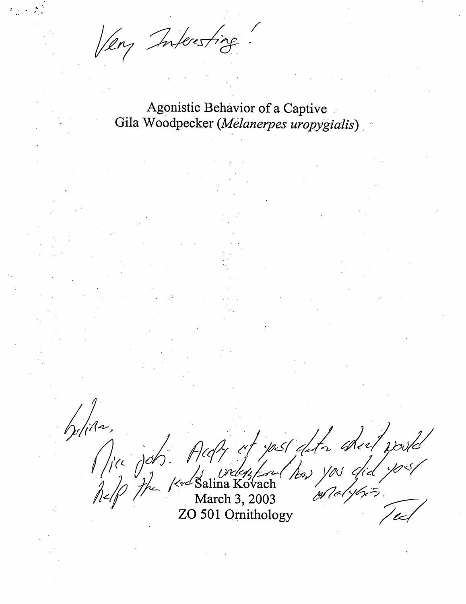Very Inferenting

Agonistic Behavior of a Captive Gila Woodpecker (Melanerpes uropygialis)

your,<br>Mayon, Aufy of your after the pool!<br>Alp the Kerl Salina Kovach has you did you!

ZO 501 Ornithology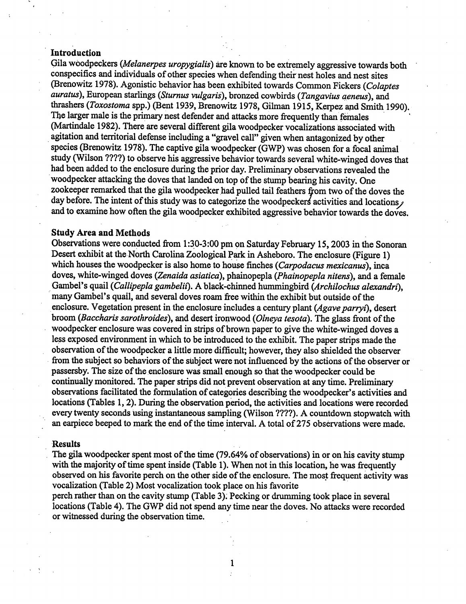#### Introduction

Gila woodpeckers (Melanerpes uropygialis) are known to be extremely aggressive towards both conspecifics and individuals of other species when defending their nest holes and nest sites (Brenowitz 1978). Agonistic behavior has been exhibited towards Common Fickers (Colaptes auratus), European starlings (Sturnus vulgaris), bronzed cowbirds (Tangavius geneus), and thrashers (Toxostoma spp.) (Bent 1939, Brenowitz 1978, Gilman 1915, Kerpez and Smith 1990). The larger male is the primary nest defender and attacks more frequently than females (Martindale 1982). There are several different gila woodpecker vocalizations associated with agitation and territorial defense including a "gravel call" given when antagonized by other species (Brenowitz 1978). The captive gila woodpecker (GWP) was chosen for a focal animal study (Wilson ????) to observe his aggressive behavior towards several white-winged doves that had been added to the enclosure during the prior day. Preliminary observations revealed the woodpecker attacking the doves that landed on top of the stump bearing his cavity. One zookeeper remarked that the gila woodpecker had pulled tail feathers from two of the doves the day before. The intent of this study was to categorize the woodpeckers activities and locations, and to examine how often the gila woodpecker exhibited aggressive behavior towards the doves.

#### **Study Area and Methods**

Observations were conducted from 1:30-3:00 pm on Saturday February 15, 2003 in the Sonoran Desert exhibit at the North Carolina Zoological Park in Asheboro. The enclosure (Figure 1) which houses the woodpecker is also home to house finches (Carpodacus mexicanus), inca doves, white-winged doves (Zenaida asiatica), phainopepla (Phainopepla nitens), and a female Gambel's quail (Callipepla gambelii). A black-chinned hummingbird (Archilochus alexandri), many Gambel's quail, and several doves roam free within the exhibit but outside of the enclosure. Vegetation present in the enclosure includes a century plant (Agave parryi), desert broom (Baccharis sarothroides), and desert ironwood (Olneya tesota). The glass front of the woodpecker enclosure was covered in strips of brown paper to give the white-winged doves a less exposed environment in which to be introduced to the exhibit. The paper strips made the observation of the woodpecker a little more difficult; however, they also shielded the observer from the subject so behaviors of the subject were not influenced by the actions of the observer or passersby. The size of the enclosure was small enough so that the woodpecker could be continually monitored. The paper strips did not prevent observation at any time. Preliminary observations facilitated the formulation of categories describing the woodpecker's activities and locations (Tables 1, 2). During the observation period, the activities and locations were recorded every twenty seconds using instantaneous sampling (Wilson ????). A countdown stopwatch with an earpiece beeped to mark the end of the time interval. A total of 275 observations were made.

#### **Results**

The gila woodpecker spent most of the time (79.64% of observations) in or on his cavity stump with the majority of time spent inside (Table 1). When not in this location, he was frequently observed on his favorite perch on the other side of the enclosure. The most frequent activity was vocalization (Table 2) Most vocalization took place on his favorite

perch rather than on the cavity stump (Table 3). Pecking or drumming took place in several locations (Table 4). The GWP did not spend any time near the doves. No attacks were recorded or witnessed during the observation time.

 $\mathbf{1}$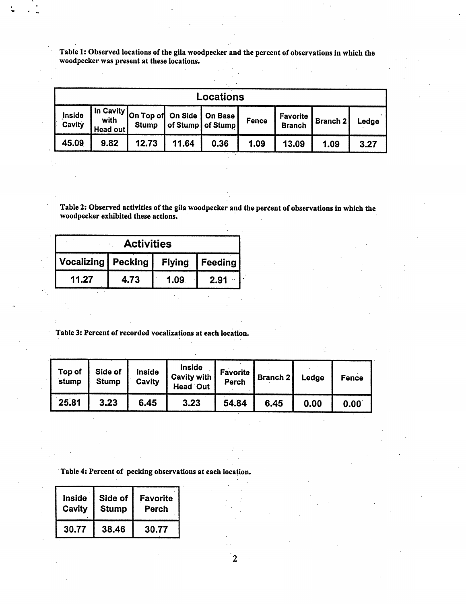Table 1: Observed locations of the gila woodpecker and the percent of observations in which the woodpecker was present at these locations.

| Locations               |                 |                                                         |       |                     |       |                           |          |       |
|-------------------------|-----------------|---------------------------------------------------------|-------|---------------------|-------|---------------------------|----------|-------|
| Inside<br><b>Cavity</b> | <b>Head out</b> | In Cavity on Top of On Side   On Base I<br><b>Stump</b> |       | of Stump   of Stump | Fence | Favorite<br><b>Branch</b> | Branch 2 | Ledge |
| 45.09                   | 9.82            | 12.73                                                   | 11.64 | 0.36                | 1.09  | 13.09                     | 1.09     | 3.27  |

Table 2: Observed activities of the gila woodpecker and the percent of observations in which the woodpecker exhibited these actions.

| <b>Example 1</b>     |      |      |                  |  |  |
|----------------------|------|------|------------------|--|--|
| Vocalizing   Pecking |      |      | Flying   Feeding |  |  |
| 11.27                | 4.73 | 1.09 | 2.91             |  |  |

Table 3: Percent of recorded vocalizations at each location.

 $\hat{\mathbf{r}}$ 

| Top of<br>stump | Side of<br>Stump | Inside<br>Cavity | Inside<br>Cavity with<br><b>Head Out</b> | <b>Favorite</b><br>Perch | Branch 2 | Ledge | Fence |
|-----------------|------------------|------------------|------------------------------------------|--------------------------|----------|-------|-------|
| 25.81           | 3.23             | 6.45             | 3.23                                     | 54.84                    | 6.45     | 0.00  | 0.00  |

 $\overline{2}$ 

Table 4: Percent of pecking observations at each location.

| <b>Inside</b> | Side of      | <b>Favorite</b> |
|---------------|--------------|-----------------|
| Cavity        | <b>Stump</b> | Perch           |
| 30.77         | 38.46        | 30.77           |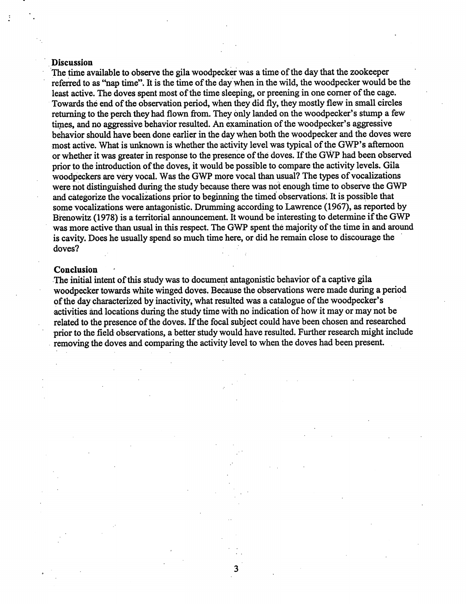#### **Discussion**

The time available to observe the gila woodpecker was a time of the day that the zookeeper referred to as "nap time". It is the time of the day when in the wild, the woodpecker would be the least active. The doves spent most of the time sleeping, or preening in one corner of the cage. Towards the end of the observation period, when they did fly, they mostly flew in small circles returning to the perch they had flown from. They only landed on the woodpecker's stump a few times, and no aggressive behavior resulted. An examination of the woodpecker's aggressive behavior should have been done earlier in the day when both the woodpecker and the doves were most active. What is unknown is whether the activity level was typical of the GWP's afternoon or whether it was greater in response to the presence of the doves. If the GWP had been observed prior to the introduction of the doves, it would be possible to compare the activity levels. Gila woodpeckers are very vocal. Was the GWP more vocal than usual? The types of vocalizations were not distinguished during the study because there was not enough time to observe the GWP and categorize the vocalizations prior to beginning the timed observations. It is possible that some vocalizations were antagonistic. Drumming according to Lawrence (1967), as reported by Brenowitz (1978) is a territorial announcement. It wound be interesting to determine if the GWP was more active than usual in this respect. The GWP spent the majority of the time in and around is cavity. Does he usually spend so much time here, or did he remain close to discourage the doves?

#### **Conclusion**

The initial intent of this study was to document antagonistic behavior of a captive gila woodpecker towards white winged doves. Because the observations were made during a period of the day characterized by inactivity, what resulted was a catalogue of the woodpecker's activities and locations during the study time with no indication of how it may or may not be related to the presence of the doves. If the focal subject could have been chosen and researched prior to the field observations, a better study would have resulted. Further research might include removing the doves and comparing the activity level to when the doves had been present.

3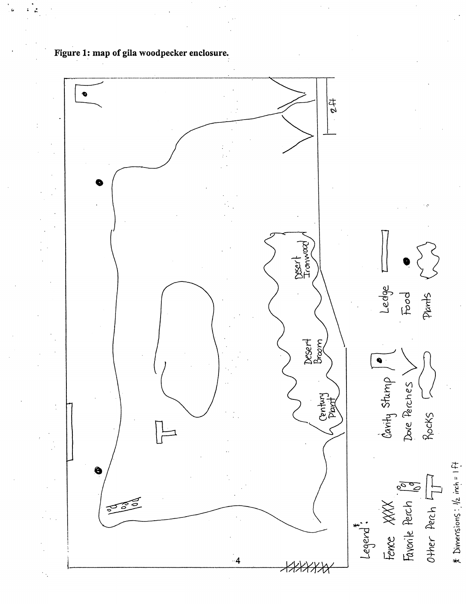

Figure 1: map of gila woodpecker enclosure.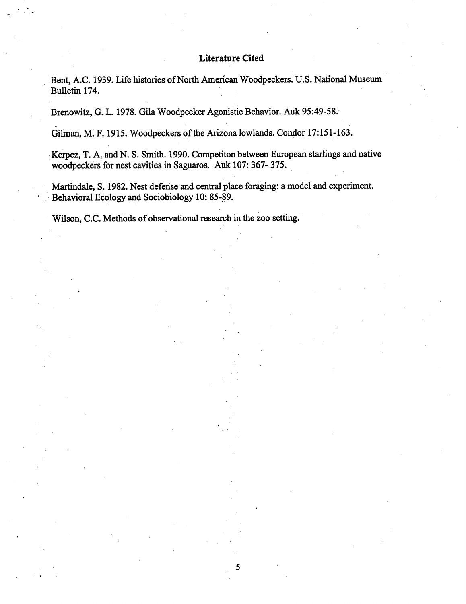# **Literature Cited**

Bent, A.C. 1939. Life histories of North American Woodpeckers. U.S. National Museum Bulletin 174.

Brenowitz, G. L. 1978. Gila Woodpecker Agonistic Behavior. Auk 95:49-58.

Gilman, M. F. 1915. Woodpeckers of the Arizona lowlands. Condor 17:151-163.

Kerpez, T. A. and N. S. Smith. 1990. Competiton between European starlings and native woodpeckers for nest cavities in Saguaros. Auk 107: 367- 375.

Martindale, S. 1982. Nest defense and central place foraging: a model and experiment. Behavioral Ecology and Sociobiology 10: 85-89.

5

Wilson, C.C. Methods of observational research in the zoo setting.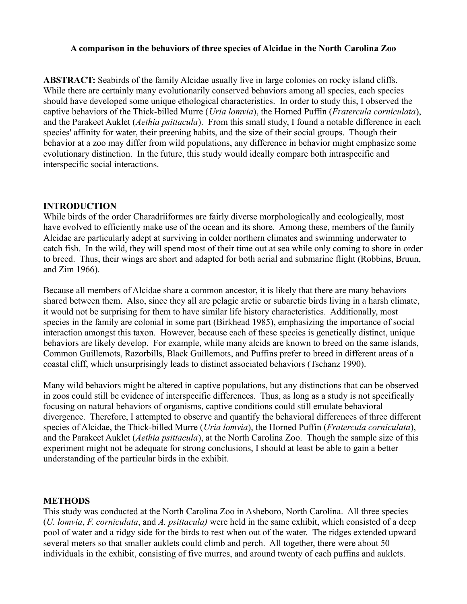# **A comparison in the behaviors of three species of Alcidae in the North Carolina Zoo**

**ABSTRACT:** Seabirds of the family Alcidae usually live in large colonies on rocky island cliffs. While there are certainly many evolutionarily conserved behaviors among all species, each species should have developed some unique ethological characteristics. In order to study this, I observed the captive behaviors of the Thick-billed Murre (*Uria lomvia*), the Horned Puffin (*Fratercula corniculata*), and the Parakeet Auklet (*Aethia psittacula*). From this small study, I found a notable difference in each species' affinity for water, their preening habits, and the size of their social groups. Though their behavior at a zoo may differ from wild populations, any difference in behavior might emphasize some evolutionary distinction. In the future, this study would ideally compare both intraspecific and interspecific social interactions.

## **INTRODUCTION**

While birds of the order Charadriiformes are fairly diverse morphologically and ecologically, most have evolved to efficiently make use of the ocean and its shore. Among these, members of the family Alcidae are particularly adept at surviving in colder northern climates and swimming underwater to catch fish. In the wild, they will spend most of their time out at sea while only coming to shore in order to breed. Thus, their wings are short and adapted for both aerial and submarine flight (Robbins, Bruun, and Zim 1966).

Because all members of Alcidae share a common ancestor, it is likely that there are many behaviors shared between them. Also, since they all are pelagic arctic or subarctic birds living in a harsh climate, it would not be surprising for them to have similar life history characteristics. Additionally, most species in the family are colonial in some part (Birkhead 1985), emphasizing the importance of social interaction amongst this taxon. However, because each of these species is genetically distinct, unique behaviors are likely develop. For example, while many alcids are known to breed on the same islands, Common Guillemots, Razorbills, Black Guillemots, and Puffins prefer to breed in different areas of a coastal cliff, which unsurprisingly leads to distinct associated behaviors (Tschanz 1990).

Many wild behaviors might be altered in captive populations, but any distinctions that can be observed in zoos could still be evidence of interspecific differences. Thus, as long as a study is not specifically focusing on natural behaviors of organisms, captive conditions could still emulate behavioral divergence. Therefore, I attempted to observe and quantify the behavioral differences of three different species of Alcidae, the Thick-billed Murre (*Uria lomvia*), the Horned Puffin (*Fratercula corniculata*), and the Parakeet Auklet (*Aethia psittacula*), at the North Carolina Zoo. Though the sample size of this experiment might not be adequate for strong conclusions, I should at least be able to gain a better understanding of the particular birds in the exhibit.

#### **METHODS**

This study was conducted at the North Carolina Zoo in Asheboro, North Carolina. All three species (*U. lomvia*, *F. corniculata*, and *A. psittacula)* were held in the same exhibit, which consisted of a deep pool of water and a ridgy side for the birds to rest when out of the water. The ridges extended upward several meters so that smaller auklets could climb and perch. All together, there were about 50 individuals in the exhibit, consisting of five murres, and around twenty of each puffins and auklets.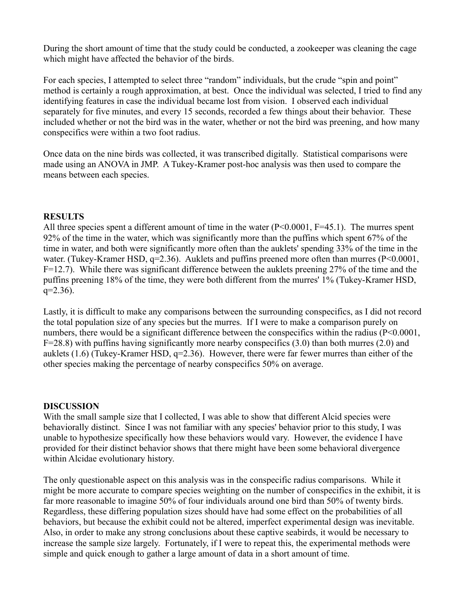During the short amount of time that the study could be conducted, a zookeeper was cleaning the cage which might have affected the behavior of the birds.

For each species, I attempted to select three "random" individuals, but the crude "spin and point" method is certainly a rough approximation, at best. Once the individual was selected, I tried to find any identifying features in case the individual became lost from vision. I observed each individual separately for five minutes, and every 15 seconds, recorded a few things about their behavior. These included whether or not the bird was in the water, whether or not the bird was preening, and how many conspecifics were within a two foot radius.

Once data on the nine birds was collected, it was transcribed digitally. Statistical comparisons were made using an ANOVA in JMP. A Tukey-Kramer post-hoc analysis was then used to compare the means between each species.

# **RESULTS**

All three species spent a different amount of time in the water  $(P<0.0001, F=45.1)$ . The murres spent 92% of the time in the water, which was significantly more than the puffins which spent 67% of the time in water, and both were significantly more often than the auklets' spending 33% of the time in the water. (Tukey-Kramer HSD, q=2.36). Auklets and puffins preened more often than murres (P<0.0001, F=12.7). While there was significant difference between the auklets preening 27% of the time and the puffins preening 18% of the time, they were both different from the murres' 1% (Tukey-Kramer HSD,  $q=2.36$ ).

Lastly, it is difficult to make any comparisons between the surrounding conspecifics, as I did not record the total population size of any species but the murres. If I were to make a comparison purely on numbers, there would be a significant difference between the conspecifics within the radius (P<0.0001,  $F=28.8$ ) with puffins having significantly more nearby conspecifics (3.0) than both murres (2.0) and auklets (1.6) (Tukey-Kramer HSD, q=2.36). However, there were far fewer murres than either of the other species making the percentage of nearby conspecifics 50% on average.

# **DISCUSSION**

With the small sample size that I collected. I was able to show that different Alcid species were behaviorally distinct. Since I was not familiar with any species' behavior prior to this study, I was unable to hypothesize specifically how these behaviors would vary. However, the evidence I have provided for their distinct behavior shows that there might have been some behavioral divergence within Alcidae evolutionary history.

The only questionable aspect on this analysis was in the conspecific radius comparisons. While it might be more accurate to compare species weighting on the number of conspecifics in the exhibit, it is far more reasonable to imagine 50% of four individuals around one bird than 50% of twenty birds. Regardless, these differing population sizes should have had some effect on the probabilities of all behaviors, but because the exhibit could not be altered, imperfect experimental design was inevitable. Also, in order to make any strong conclusions about these captive seabirds, it would be necessary to increase the sample size largely. Fortunately, if I were to repeat this, the experimental methods were simple and quick enough to gather a large amount of data in a short amount of time.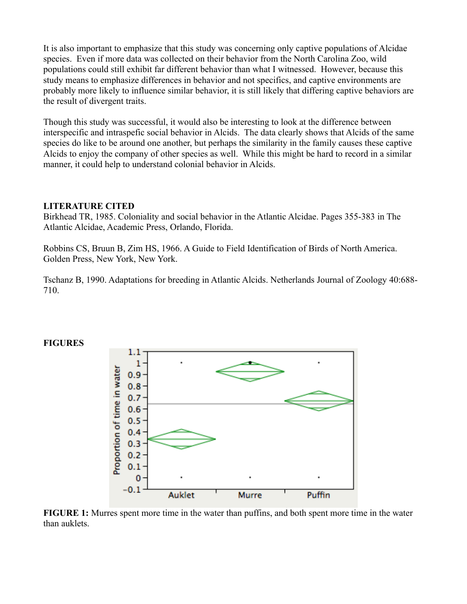It is also important to emphasize that this study was concerning only captive populations of Alcidae species. Even if more data was collected on their behavior from the North Carolina Zoo, wild populations could still exhibit far different behavior than what I witnessed. However, because this study means to emphasize differences in behavior and not specifics, and captive environments are probably more likely to influence similar behavior, it is still likely that differing captive behaviors are the result of divergent traits.

Though this study was successful, it would also be interesting to look at the difference between interspecific and intraspefic social behavior in Alcids. The data clearly shows that Alcids of the same species do like to be around one another, but perhaps the similarity in the family causes these captive Alcids to enjoy the company of other species as well. While this might be hard to record in a similar manner, it could help to understand colonial behavior in Alcids.

# **LITERATURE CITED**

Birkhead TR, 1985. Coloniality and social behavior in the Atlantic Alcidae. Pages 355-383 in The Atlantic Alcidae, Academic Press, Orlando, Florida.

Robbins CS, Bruun B, Zim HS, 1966. A Guide to Field Identification of Birds of North America. Golden Press, New York, New York.

Tschanz B, 1990. Adaptations for breeding in Atlantic Alcids. Netherlands Journal of Zoology 40:688- 710.



#### **FIGURES**

**FIGURE 1:** Murres spent more time in the water than puffins, and both spent more time in the water than auklets.